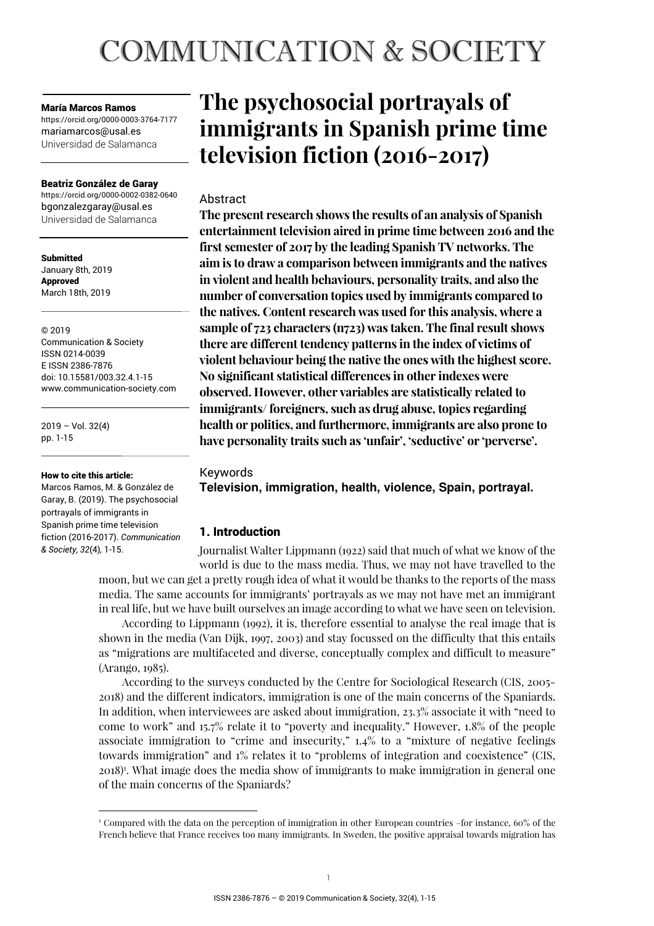# **COMMUNICATION & SOCIETY**

#### María Marcos Ramos

https://orcid.org/0000-0003-3764-7177 mariamarcos@usal.es Universidad de Salamanca

#### Beatriz González de Garay

https://orcid.org/0000-0002-0382-0640 bgonzalezgaray@usal.es Universidad de Salamanca

**Submitted** January 8th, 2019 Approved March 18th, 2019

© 2019 Communication & Society ISSN 0214-0039 E ISSN 2386-7876 doi: 10.15581/003.32.4.1-15 www.communication-society.com

 $2019 - Vol. 32(4)$ pp. 1-15

#### How to cite this article:

Marcos Ramos, M. & González de Garay, B. (2019). The psychosocial portrayals of immigrants in Spanish prime time television fiction (2016-2017). *Communication & Society, 32*(4)*,* 1-15.

# **The psychosocial portrayals of immigrants in Spanish prime time television fiction (2016-2017)**

# Abstract

**The present research shows the results of an analysis of Spanish entertainment television aired in prime time between 2016 and the first semester of 2017 by the leading Spanish TV networks. The aim is to draw a comparison between immigrants and the natives in violent and health behaviours, personality traits, and also the number of conversation topics used by immigrants compared to the natives. Content research was used for this analysis, where a sample of 723 characters (n723) was taken. The final result shows there are different tendency patterns in the index of victims of violent behaviour being the native the ones with the highest score. No significant statistical differences in other indexes were observed. However, other variables are statistically related to immigrants/ foreigners, such as drug abuse, topics regarding health or politics, and furthermore, immigrants are also prone to have personality traits such as 'unfair', 'seductive' or 'perverse'.** 

# Keywords

**Television, immigration, health, violence, Spain, portrayal.** 

# 1. Introduction

Journalist Walter Lippmann (1922) said that much of what we know of the world is due to the mass media. Thus, we may not have travelled to the

moon, but we can get a pretty rough idea of what it would be thanks to the reports of the mass media. The same accounts for immigrants' portrayals as we may not have met an immigrant in real life, but we have built ourselves an image according to what we have seen on television.

According to Lippmann (1992), it is, therefore essential to analyse the real image that is shown in the media (Van Dijk, 1997, 2003) and stay focussed on the difficulty that this entails as "migrations are multifaceted and diverse, conceptually complex and difficult to measure" (Arango, 1985).

According to the surveys conducted by the Centre for Sociological Research (CIS, 2005- 2018) and the different indicators, immigration is one of the main concerns of the Spaniards. In addition, when interviewees are asked about immigration, 23.3% associate it with "need to come to work" and 15.7% relate it to "poverty and inequality." However, 1.8% of the people associate immigration to "crime and insecurity," 1.4% to a "mixture of negative feelings towards immigration" and 1% relates it to "problems of integration and coexistence" (CIS, 2018)<sup>1</sup> . What image does the media show of immigrants to make immigration in general one of the main concerns of the Spaniards?

<sup>1</sup> Compared with the data on the perception of immigration in other European countries –for instance, 60% of the French believe that France receives too many immigrants. In Sweden, the positive appraisal towards migration has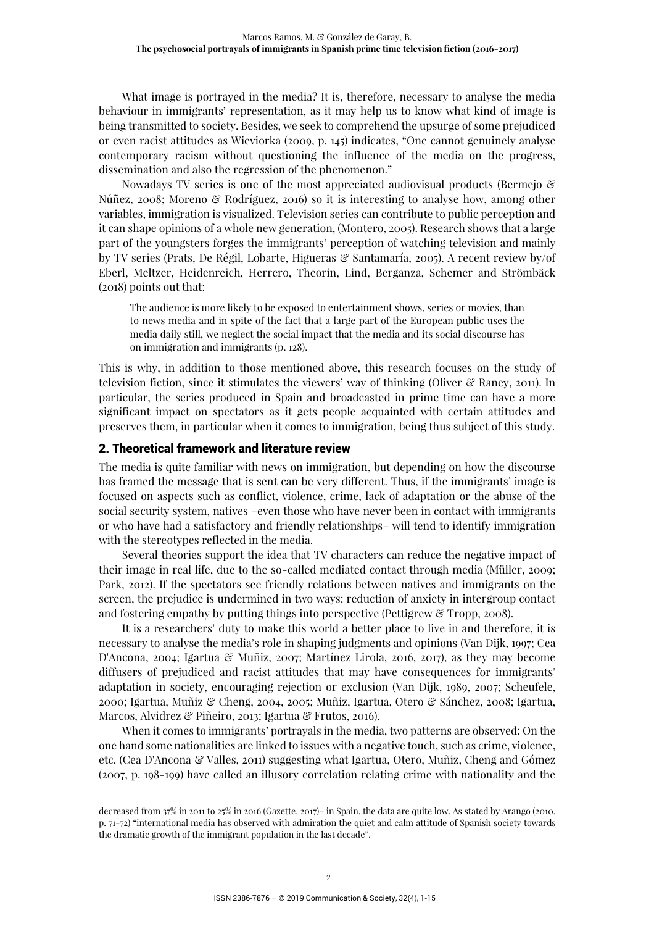What image is portrayed in the media? It is, therefore, necessary to analyse the media behaviour in immigrants' representation, as it may help us to know what kind of image is being transmitted to society. Besides, we seek to comprehend the upsurge of some prejudiced or even racist attitudes as Wieviorka (2009, p. 145) indicates, "One cannot genuinely analyse contemporary racism without questioning the influence of the media on the progress, dissemination and also the regression of the phenomenon."

Nowadays TV series is one of the most appreciated audiovisual products (Bermejo & Núñez, 2008; Moreno & Rodríguez, 2016) so it is interesting to analyse how, among other variables, immigration is visualized. Television series can contribute to public perception and it can shape opinions of a whole new generation, (Montero, 2005). Research shows that a large part of the youngsters forges the immigrants' perception of watching television and mainly by TV series (Prats, De Régil, Lobarte, Higueras & Santamaría, 2005). A recent review by/of Eberl, Meltzer, Heidenreich, Herrero, Theorin, Lind, Berganza, Schemer and Strömbäck (2018) points out that:

The audience is more likely to be exposed to entertainment shows, series or movies, than to news media and in spite of the fact that a large part of the European public uses the media daily still, we neglect the social impact that the media and its social discourse has on immigration and immigrants (p. 128).

This is why, in addition to those mentioned above, this research focuses on the study of television fiction, since it stimulates the viewers' way of thinking (Oliver & Raney, 2011). In particular, the series produced in Spain and broadcasted in prime time can have a more significant impact on spectators as it gets people acquainted with certain attitudes and preserves them, in particular when it comes to immigration, being thus subject of this study.

#### 2. Theoretical framework and literature review

The media is quite familiar with news on immigration, but depending on how the discourse has framed the message that is sent can be very different. Thus, if the immigrants' image is focused on aspects such as conflict, violence, crime, lack of adaptation or the abuse of the social security system, natives –even those who have never been in contact with immigrants or who have had a satisfactory and friendly relationships– will tend to identify immigration with the stereotypes reflected in the media.

Several theories support the idea that TV characters can reduce the negative impact of their image in real life, due to the so-called mediated contact through media (Müller, 2009; Park, 2012). If the spectators see friendly relations between natives and immigrants on the screen, the prejudice is undermined in two ways: reduction of anxiety in intergroup contact and fostering empathy by putting things into perspective (Pettigrew & Tropp, 2008).

It is a researchers' duty to make this world a better place to live in and therefore, it is necessary to analyse the media's role in shaping judgments and opinions (Van Dijk, 1997; Cea D'Ancona, 2004; Igartua & Muñiz, 2007; Martínez Lirola, 2016, 2017), as they may become diffusers of prejudiced and racist attitudes that may have consequences for immigrants' adaptation in society, encouraging rejection or exclusion (Van Dijk, 1989, 2007; Scheufele, 2000; Igartua, Muñiz & Cheng, 2004, 2005; Muñiz, Igartua, Otero & Sánchez, 2008; Igartua, Marcos, Alvidrez & Piñeiro, 2013; Igartua & Frutos, 2016).

When it comes to immigrants' portrayals in the media, two patterns are observed: On the one hand some nationalities are linked to issues with a negative touch, such as crime, violence, etc. (Cea D'Ancona & Valles, 2011) suggesting what Igartua, Otero, Muñiz, Cheng and Gómez (2007, p. 198-199) have called an illusory correlation relating crime with nationality and the

decreased from 37% in 2011 to 25% in 2016 (Gazette, 2017)– in Spain, the data are quite low. As stated by Arango (2010, p. 71-72) "international media has observed with admiration the quiet and calm attitude of Spanish society towards the dramatic growth of the immigrant population in the last decade".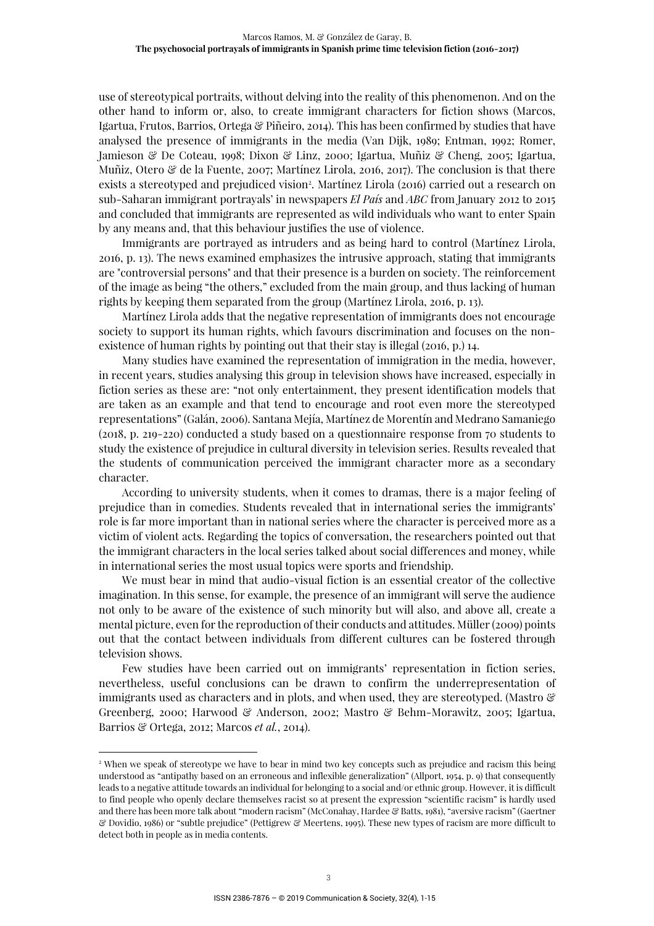use of stereotypical portraits, without delving into the reality of this phenomenon. And on the other hand to inform or, also, to create immigrant characters for fiction shows (Marcos, Igartua, Frutos, Barrios, Ortega & Piñeiro, 2014). This has been confirmed by studies that have analysed the presence of immigrants in the media (Van Dijk, 1989; Entman, 1992; Romer, Jamieson & De Coteau, 1998; Dixon & Linz, 2000; Igartua, Muñiz & Cheng, 2005; Igartua, Muñiz, Otero & de la Fuente, 2007; Martínez Lirola, 2016, 2017). The conclusion is that there exists a stereotyped and prejudiced vision<sup>2</sup>. Martínez Lirola (2016) carried out a research on sub-Saharan immigrant portrayals' in newspapers *El País* and *ABC* from January 2012 to 2015 and concluded that immigrants are represented as wild individuals who want to enter Spain by any means and, that this behaviour justifies the use of violence.

Immigrants are portrayed as intruders and as being hard to control (Martínez Lirola, 2016, p. 13). The news examined emphasizes the intrusive approach, stating that immigrants are "controversial persons" and that their presence is a burden on society. The reinforcement of the image as being "the others," excluded from the main group, and thus lacking of human rights by keeping them separated from the group (Martínez Lirola, 2016, p. 13).

Martínez Lirola adds that the negative representation of immigrants does not encourage society to support its human rights, which favours discrimination and focuses on the nonexistence of human rights by pointing out that their stay is illegal (2016, p.) 14.

Many studies have examined the representation of immigration in the media, however, in recent years, studies analysing this group in television shows have increased, especially in fiction series as these are: "not only entertainment, they present identification models that are taken as an example and that tend to encourage and root even more the stereotyped representations" (Galán, 2006). Santana Mejía, Martínez de Morentín and Medrano Samaniego (2018, p. 219-220) conducted a study based on a questionnaire response from 70 students to study the existence of prejudice in cultural diversity in television series. Results revealed that the students of communication perceived the immigrant character more as a secondary character.

According to university students, when it comes to dramas, there is a major feeling of prejudice than in comedies. Students revealed that in international series the immigrants' role is far more important than in national series where the character is perceived more as a victim of violent acts. Regarding the topics of conversation, the researchers pointed out that the immigrant characters in the local series talked about social differences and money, while in international series the most usual topics were sports and friendship.

We must bear in mind that audio-visual fiction is an essential creator of the collective imagination. In this sense, for example, the presence of an immigrant will serve the audience not only to be aware of the existence of such minority but will also, and above all, create a mental picture, even for the reproduction of their conducts and attitudes. Müller (2009) points out that the contact between individuals from different cultures can be fostered through television shows.

Few studies have been carried out on immigrants' representation in fiction series, nevertheless, useful conclusions can be drawn to confirm the underrepresentation of immigrants used as characters and in plots, and when used, they are stereotyped. (Mastro  $\mathcal{C}$ Greenberg, 2000; Harwood & Anderson, 2002; Mastro & Behm-Morawitz, 2005; Igartua, Barrios & Ortega, 2012; Marcos *et al.*, 2014).

<sup>2</sup> When we speak of stereotype we have to bear in mind two key concepts such as prejudice and racism this being understood as "antipathy based on an erroneous and inflexible generalization" (Allport, 1954, p. 9) that consequently leads to a negative attitude towards an individual for belonging to a social and/or ethnic group. However, it is difficult to find people who openly declare themselves racist so at present the expression "scientific racism" is hardly used and there has been more talk about "modern racism" (McConahay, Hardee & Batts, 1981), "aversive racism" (Gaertner & Dovidio, 1986) or "subtle prejudice" (Pettigrew & Meertens, 1995). These new types of racism are more difficult to detect both in people as in media contents.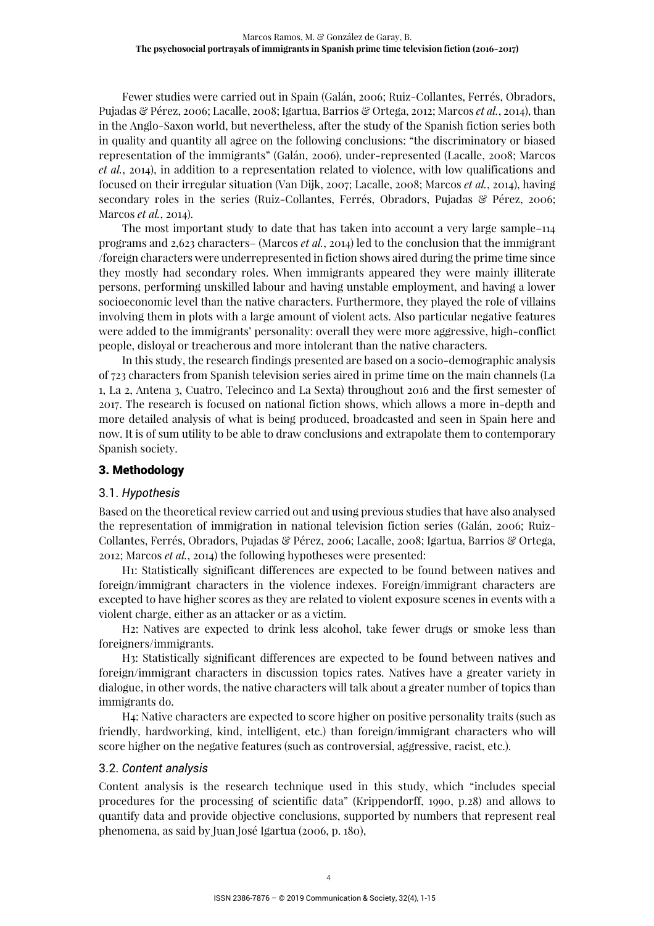Fewer studies were carried out in Spain (Galán, 2006; Ruiz-Collantes, Ferrés, Obradors, Pujadas & Pérez, 2006; Lacalle, 2008; Igartua, Barrios & Ortega, 2012; Marcos *et al.*, 2014), than in the Anglo-Saxon world, but nevertheless, after the study of the Spanish fiction series both in quality and quantity all agree on the following conclusions: "the discriminatory or biased representation of the immigrants" (Galán, 2006), under-represented (Lacalle, 2008; Marcos *et al.*, 2014), in addition to a representation related to violence, with low qualifications and focused on their irregular situation (Van Dijk, 2007; Lacalle, 2008; Marcos *et al.*, 2014), having secondary roles in the series (Ruiz-Collantes, Ferrés, Obradors, Pujadas & Pérez, 2006; Marcos *et al.*, 2014).

The most important study to date that has taken into account a very large sample–114 programs and 2,623 characters– (Marcos *et al.*, 2014) led to the conclusion that the immigrant /foreign characters were underrepresented in fiction shows aired during the prime time since they mostly had secondary roles. When immigrants appeared they were mainly illiterate persons, performing unskilled labour and having unstable employment, and having a lower socioeconomic level than the native characters. Furthermore, they played the role of villains involving them in plots with a large amount of violent acts. Also particular negative features were added to the immigrants' personality: overall they were more aggressive, high-conflict people, disloyal or treacherous and more intolerant than the native characters.

In this study, the research findings presented are based on a socio-demographic analysis of 723 characters from Spanish television series aired in prime time on the main channels (La 1, La 2, Antena 3, Cuatro, Telecinco and La Sexta) throughout 2016 and the first semester of 2017. The research is focused on national fiction shows, which allows a more in-depth and more detailed analysis of what is being produced, broadcasted and seen in Spain here and now. It is of sum utility to be able to draw conclusions and extrapolate them to contemporary Spanish society.

# 3. Methodology

# 3.1. *Hypothesis*

Based on the theoretical review carried out and using previous studies that have also analysed the representation of immigration in national television fiction series (Galán, 2006; Ruiz-Collantes, Ferrés, Obradors, Pujadas & Pérez, 2006; Lacalle, 2008; Igartua, Barrios & Ortega, 2012; Marcos *et al.*, 2014) the following hypotheses were presented:

H1: Statistically significant differences are expected to be found between natives and foreign/immigrant characters in the violence indexes. Foreign/immigrant characters are excepted to have higher scores as they are related to violent exposure scenes in events with a violent charge, either as an attacker or as a victim.

H2: Natives are expected to drink less alcohol, take fewer drugs or smoke less than foreigners/immigrants.

H3: Statistically significant differences are expected to be found between natives and foreign/immigrant characters in discussion topics rates. Natives have a greater variety in dialogue, in other words, the native characters will talk about a greater number of topics than immigrants do.

H4: Native characters are expected to score higher on positive personality traits (such as friendly, hardworking, kind, intelligent, etc.) than foreign/immigrant characters who will score higher on the negative features (such as controversial, aggressive, racist, etc.).

#### 3.2. *Content analysis*

Content analysis is the research technique used in this study, which "includes special procedures for the processing of scientific data" (Krippendorff, 1990, p.28) and allows to quantify data and provide objective conclusions, supported by numbers that represent real phenomena, as said by Juan José Igartua (2006, p. 180),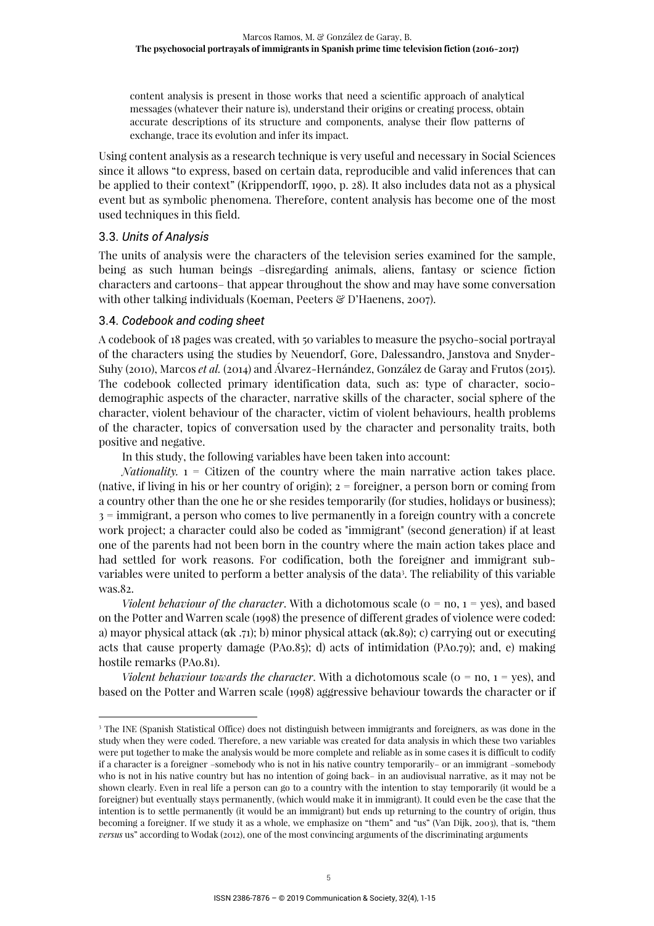content analysis is present in those works that need a scientific approach of analytical messages (whatever their nature is), understand their origins or creating process, obtain accurate descriptions of its structure and components, analyse their flow patterns of exchange, trace its evolution and infer its impact.

Using content analysis as a research technique is very useful and necessary in Social Sciences since it allows "to express, based on certain data, reproducible and valid inferences that can be applied to their context" (Krippendorff, 1990, p. 28). It also includes data not as a physical event but as symbolic phenomena. Therefore, content analysis has become one of the most used techniques in this field.

# 3.3. *Units of Analysis*

The units of analysis were the characters of the television series examined for the sample, being as such human beings –disregarding animals, aliens, fantasy or science fiction characters and cartoons– that appear throughout the show and may have some conversation with other talking individuals (Koeman, Peeters & D'Haenens, 2007).

# 3.4. *Codebook and coding sheet*

A codebook of 18 pages was created, with 50 variables to measure the psycho-social portrayal of the characters using the studies by Neuendorf, Gore, Dalessandro, Janstova and Snyder-Suhy (2010), Marcos *et al.* (2014) and Álvarez-Hernández, González de Garay and Frutos (2015). The codebook collected primary identification data, such as: type of character, sociodemographic aspects of the character, narrative skills of the character, social sphere of the character, violent behaviour of the character, victim of violent behaviours, health problems of the character, topics of conversation used by the character and personality traits, both positive and negative.

In this study, the following variables have been taken into account:

*Nationality.* 1 = Citizen of the country where the main narrative action takes place. (native, if living in his or her country of origin); 2 = foreigner, a person born or coming from a country other than the one he or she resides temporarily (for studies, holidays or business); 3 = immigrant, a person who comes to live permanently in a foreign country with a concrete work project; a character could also be coded as "immigrant" (second generation) if at least one of the parents had not been born in the country where the main action takes place and had settled for work reasons. For codification, both the foreigner and immigrant subvariables were united to perform a better analysis of the data<sup>3</sup>. The reliability of this variable was.82.

*Violent behaviour of the character*. With a dichotomous scale ( $o = no, 1 = yes$ ), and based on the Potter and Warren scale (1998) the presence of different grades of violence were coded: a) mayor physical attack ( $\alpha$ k .71); b) minor physical attack ( $\alpha$ k.89); c) carrying out or executing acts that cause property damage (PAo.85); d) acts of intimidation (PAo.79); and, e) making hostile remarks (PAo.81).

*Violent behaviour towards the character*. With a dichotomous scale ( $o = no, 1 = yes$ ), and based on the Potter and Warren scale (1998) aggressive behaviour towards the character or if

<sup>3</sup> The INE (Spanish Statistical Office) does not distinguish between immigrants and foreigners, as was done in the study when they were coded. Therefore, a new variable was created for data analysis in which these two variables were put together to make the analysis would be more complete and reliable as in some cases it is difficult to codify if a character is a foreigner –somebody who is not in his native country temporarily– or an immigrant –somebody who is not in his native country but has no intention of going back– in an audiovisual narrative, as it may not be shown clearly. Even in real life a person can go to a country with the intention to stay temporarily (it would be a foreigner) but eventually stays permanently, (which would make it in immigrant). It could even be the case that the intention is to settle permanently (it would be an immigrant) but ends up returning to the country of origin, thus becoming a foreigner. If we study it as a whole, we emphasize on "them" and "us" (Van Dijk, 2003), that is, "them *versus* us" according to Wodak (2012), one of the most convincing arguments of the discriminating arguments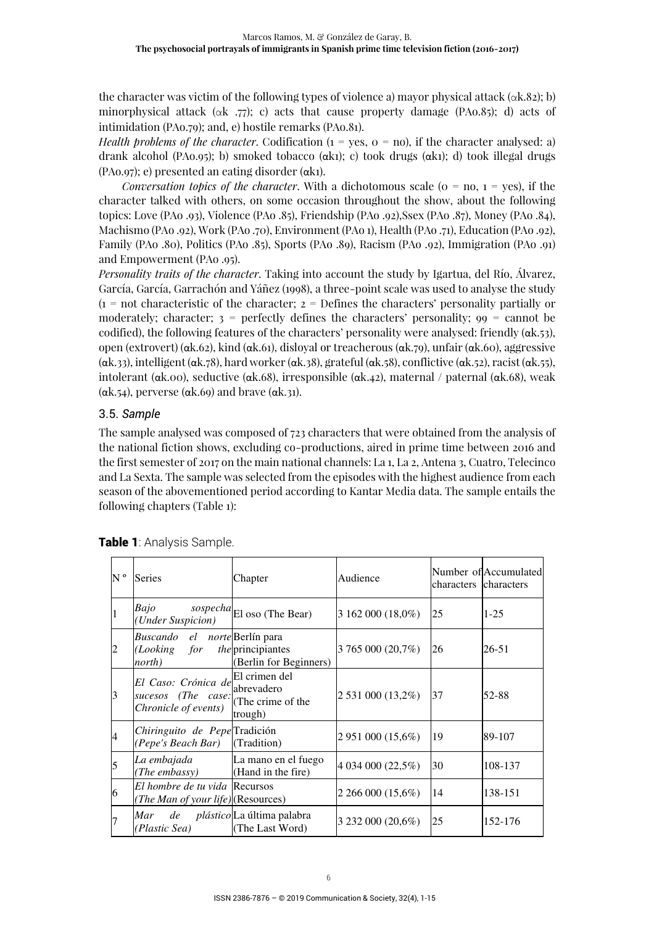the character was victim of the following types of violence a) mayor physical attack ( $\alpha$ k.82); b) minorphysical attack ( $\alpha$ k .77); c) acts that cause property damage (PAo.85); d) acts of intimidation (PAo.79); and, e) hostile remarks (PAo.81).

*Health problems of the character*. Codification  $(i = \text{ves}, o = \text{no})$ , if the character analysed: a) drank alcohol (PAo.95); b) smoked tobacco (αk1); c) took drugs (αk1); d) took illegal drugs (PAo.97); e) presented an eating disorder (αk1).

*Conversation topics of the character*. With a dichotomous scale ( $o = no$ ,  $1 = yes$ ), if the character talked with others, on some occasion throughout the show, about the following topics: Love (PAo .93), Violence (PAo .85), Friendship (PAo .92),Ssex (PAo .87), Money (PAo .84), Machismo (PAo .92), Work (PAo .70), Environment (PAo 1), Health (PAo .71), Education (PAo .92), Family (PAo .80), Politics (PAo .85), Sports (PAo .89), Racism (PAo .92), Immigration (PAo .91) and Empowerment (PAo .95).

*Personality traits of the character*. Taking into account the study by Igartua, del Río, Álvarez, García, García, Garrachón and Yáñez (1998), a three-point scale was used to analyse the study  $(1 = not characteristic of the character; 2 = Defines the characters' personality partially or$ moderately; character;  $3$  = perfectly defines the characters' personality;  $99$  = cannot be codified), the following features of the characters' personality were analysed: friendly (αk.53), open (extrovert) (αk.62), kind (αk.61), disloyal or treacherous (αk.79), unfair (αk.60), aggressive ( $\alpha$ k.33), intelligent ( $\alpha$ k.78), hard worker ( $\alpha$ k.38), grateful ( $\alpha$ k.58), conflictive ( $\alpha$ k.52), racist ( $\alpha$ k.55), intolerant (αk.00), seductive (αk.68), irresponsible (αk.42), maternal / paternal (αk.68), weak ( $\alpha$ k.54), perverse ( $\alpha$ k.69) and brave ( $\alpha$ k.31).

# 3.5. *Sample*

The sample analysed was composed of 723 characters that were obtained from the analysis of the national fiction shows, excluding co-productions, aired in prime time between 2016 and the first semester of 2017 on the main national channels: La 1, La 2, Antena 3, Cuatro, Telecinco and La Sexta. The sample was selected from the episodes with the highest audience from each season of the abovementioned period according to Kantar Media data. The sample entails the following chapters (Table 1):

| N ° | Series                                                                 | Chapter                                                     | Audience          | characters characters | Number of Accumulated |
|-----|------------------------------------------------------------------------|-------------------------------------------------------------|-------------------|-----------------------|-----------------------|
|     | Bajo<br>(Under Suspicion)                                              | sospecha <sup>El</sup> oso (The Bear)                       | 3 162 000 (18,0%) | 25                    | $1 - 25$              |
|     | Buscando el norte Berlín para<br>(Looking<br>for<br>north)             | <i>the</i> principiantes<br>(Berlin for Beginners)          | 3 765 000 (20,7%) | 26                    | 26-51                 |
| 3   | El Caso: Crónica de<br>sucesos (The case:<br>Chronicle of events)      | El crimen del<br>abrevadero<br>(The crime of the<br>trough) | 2 531 000 (13,2%) | 37                    | 52-88                 |
| 4   | Chiringuito de Pepe Tradición<br><i>(Pepe's Beach Bar)</i> (Tradition) |                                                             | 2 951 000 (15,6%) | 19                    | 89-107                |
| 5   | La embajada<br>(The embassy)                                           | La mano en el fuego<br>(Hand in the fire)                   | 4 034 000 (22,5%) | 30                    | 108-137               |
| 16  | El hombre de tu vida Recursos<br>(The Man of your life)(Resources)     |                                                             | 2 266 000 (15,6%) | 14                    | 138-151               |
|     | Mar<br>de<br>(Plastic Sea)                                             | <i>plástico</i> La última palabra<br>(The Last Word)        | 3 232 000 (20,6%) | 25                    | 152-176               |

|  |  |  | Table 1: Analysis Sample. |  |
|--|--|--|---------------------------|--|
|--|--|--|---------------------------|--|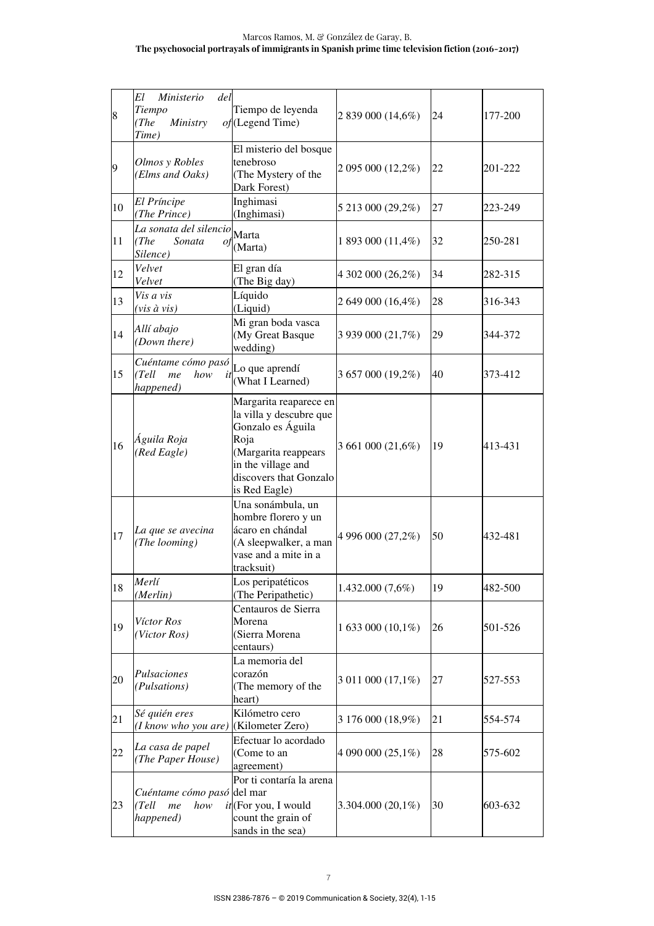#### Marcos Ramos, M. & González de Garay, B. **The psychosocial portrayals of immigrants in Spanish prime time television fiction (2016-2017)**

| 8  | Ministerio<br>El<br>del<br>Tiempo<br>(The<br>Ministry<br>Time) | Tiempo de leyenda<br>$of$ (Legend Time)                                                                                                                                 | 2 839 000 (14,6%)   | 24 | 177-200 |
|----|----------------------------------------------------------------|-------------------------------------------------------------------------------------------------------------------------------------------------------------------------|---------------------|----|---------|
| 9  | Olmos y Robles<br>(Elms and Oaks)                              | El misterio del bosque<br>tenebroso<br>(The Mystery of the<br>Dark Forest)                                                                                              | 2 095 000 (12,2%)   | 22 | 201-222 |
| 10 | El Príncipe<br>(The Prince)                                    | Inghimasi<br>(Inghimasi)                                                                                                                                                | 5 213 000 (29,2%)   | 27 | 223-249 |
| 11 | La sonata del silencio Marta<br>(The<br>Sonata<br>Silence)     | $of$ <sub>(Marta)</sub>                                                                                                                                                 | 1 893 000 (11,4%)   | 32 | 250-281 |
| 12 | Velvet<br>Velvet                                               | El gran día<br>(The Big day)                                                                                                                                            | 4 302 000 (26,2%)   | 34 | 282-315 |
| 13 | Vis a vis<br>$(vis \, \hat{a} \, vis)$                         | Líquido<br>(Liquid)                                                                                                                                                     | 2 649 000 (16,4%)   | 28 | 316-343 |
| 14 | Allí abajo<br>(Down there)                                     | Mi gran boda vasca<br>(My Great Basque<br>wedding)                                                                                                                      | 3 939 000 (21,7%)   | 29 | 344-372 |
| 15 | Cuéntame cómo pasó<br>how<br>(Tell<br>me<br>it<br>happened)    | Lo que aprendí<br>(What I Learned)                                                                                                                                      | 3 657 000 (19,2%)   | 40 | 373-412 |
| 16 | Águila Roja<br>(Red Eagle)                                     | Margarita reaparece en<br>la villa y descubre que<br>Gonzalo es Águila<br>Roja<br>(Margarita reappears<br>in the village and<br>discovers that Gonzalo<br>is Red Eagle) | 3 661 000 (21,6%)   | 19 | 413-431 |
| 17 | La que se avecina<br>(The looming)                             | Una sonámbula, un<br>hombre florero y un<br>ácaro en chándal<br>(A sleepwalker, a man<br>vase and a mite in a<br>tracksuit)                                             | 4 996 000 (27,2%)   | 50 | 432-481 |
| 18 | Merlí<br>(Merlin)                                              | Los peripatéticos<br>(The Peripathetic)                                                                                                                                 | 1.432.000 (7,6%)    | 19 | 482-500 |
| 19 | Víctor Ros<br>(Victor Ros)                                     | Centauros de Sierra<br>Morena<br>(Sierra Morena<br>centaurs)                                                                                                            | 1 633 000 (10,1%)   | 26 | 501-526 |
| 20 | Pulsaciones<br>(Pulsations)                                    | La memoria del<br>corazón<br>(The memory of the<br>heart)                                                                                                               | 3 011 000 (17,1%)   | 27 | 527-553 |
| 21 | Sé quién eres<br>(I know who you are)                          | Kilómetro cero<br>(Kilometer Zero)                                                                                                                                      | 3 176 000 (18,9%)   | 21 | 554-574 |
| 22 | La casa de papel<br>(The Paper House)                          | Efectuar lo acordado<br>(Come to an<br>agreement)                                                                                                                       | 4 090 000 (25,1%)   | 28 | 575-602 |
| 23 | Cuéntame cómo pasó del mar<br>(Tell<br>how<br>me<br>happened)  | Por ti contaría la arena<br>$it$ (For you, I would<br>count the grain of<br>sands in the sea)                                                                           | $3.304.000(20,1\%)$ | 30 | 603-632 |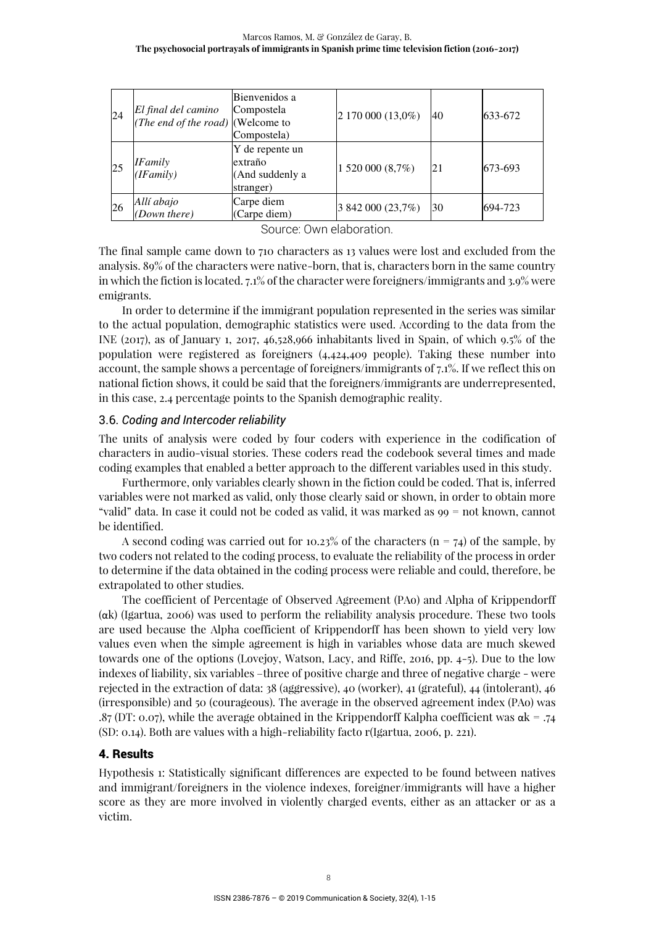| 24        | El final del camino<br>( <i>The end of the road</i> ) (Welcome to | Bienvenidos a<br>Compostela<br>Compostela)                 | 2 170 000 (13,0%) | 40 | 633-672 |
|-----------|-------------------------------------------------------------------|------------------------------------------------------------|-------------------|----|---------|
| 25        | <b>IFamily</b><br>(IFamily)                                       | Y de repente un<br>extraño<br>(And suddenly a<br>stranger) | 1 520 000 (8,7%)  | 21 | 673-693 |
| <b>26</b> | Allí abajo<br>(Down there)                                        | Carpe diem<br>(Carpe diem)                                 | 3 842 000 (23,7%) | 30 | 694-723 |

Source: Own elaboration.

The final sample came down to 710 characters as 13 values were lost and excluded from the analysis. 89% of the characters were native-born, that is, characters born in the same country in which the fiction is located. 7.1% of the character were foreigners/immigrants and 3.9% were emigrants.

In order to determine if the immigrant population represented in the series was similar to the actual population, demographic statistics were used. According to the data from the INE (2017), as of January 1, 2017, 46,528,966 inhabitants lived in Spain, of which 9.5% of the population were registered as foreigners (4,424,409 people). Taking these number into account, the sample shows a percentage of foreigners/immigrants of 7.1%. If we reflect this on national fiction shows, it could be said that the foreigners/immigrants are underrepresented, in this case, 2.4 percentage points to the Spanish demographic reality.

# 3.6. *Coding and Intercoder reliability*

The units of analysis were coded by four coders with experience in the codification of characters in audio-visual stories. These coders read the codebook several times and made coding examples that enabled a better approach to the different variables used in this study.

Furthermore, only variables clearly shown in the fiction could be coded. That is, inferred variables were not marked as valid, only those clearly said or shown, in order to obtain more "valid" data. In case it could not be coded as valid, it was marked as 99 = not known, cannot be identified.

A second coding was carried out for 10.23% of the characters ( $n = 74$ ) of the sample, by two coders not related to the coding process, to evaluate the reliability of the process in order to determine if the data obtained in the coding process were reliable and could, therefore, be extrapolated to other studies.

The coefficient of Percentage of Observed Agreement (PAo) and Alpha of Krippendorff (αk) (Igartua, 2006) was used to perform the reliability analysis procedure. These two tools are used because the Alpha coefficient of Krippendorff has been shown to yield very low values even when the simple agreement is high in variables whose data are much skewed towards one of the options (Lovejoy, Watson, Lacy, and Riffe, 2016, pp. 4-5). Due to the low indexes of liability, six variables –three of positive charge and three of negative charge - were rejected in the extraction of data: 38 (aggressive), 40 (worker), 41 (grateful), 44 (intolerant), 46 (irresponsible) and 50 (courageous). The average in the observed agreement index (PAo) was .87 (DT: 0.07), while the average obtained in the Krippendorff Kalpha coefficient was  $\alpha$ k = .74 (SD: 0.14). Both are values with a high-reliability facto r(Igartua, 2006, p. 221).

# 4. Results

Hypothesis 1: Statistically significant differences are expected to be found between natives and immigrant/foreigners in the violence indexes, foreigner/immigrants will have a higher score as they are more involved in violently charged events, either as an attacker or as a victim.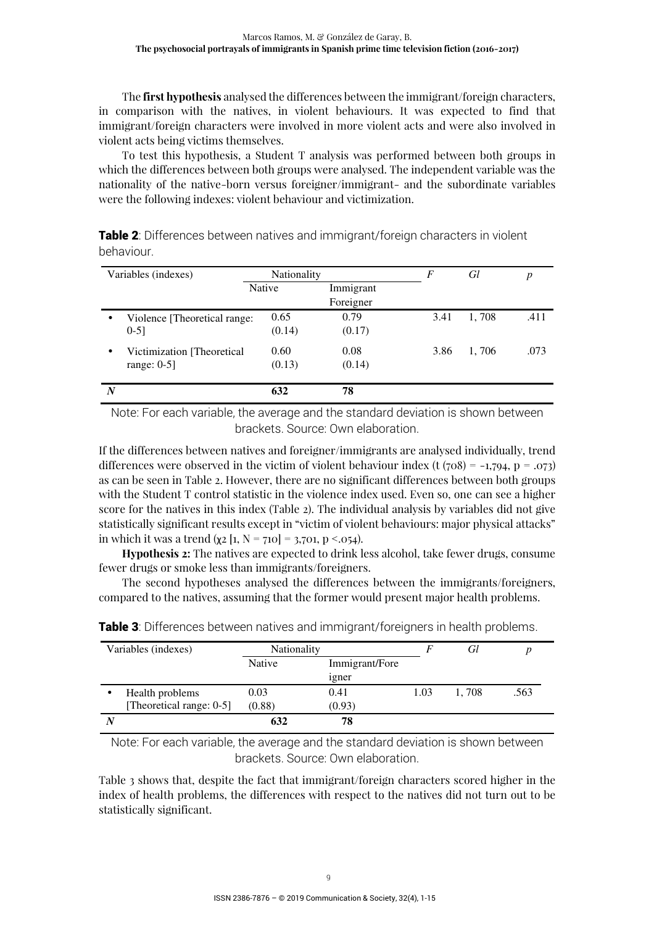The **first hypothesis** analysed the differences between the immigrant/foreign characters, in comparison with the natives, in violent behaviours. It was expected to find that immigrant/foreign characters were involved in more violent acts and were also involved in violent acts being victims themselves.

To test this hypothesis, a Student T analysis was performed between both groups in which the differences between both groups were analysed. The independent variable was the nationality of the native-born versus foreigner/immigrant- and the subordinate variables were the following indexes: violent behaviour and victimization.

| Table 2: Differences between natives and immigrant/foreign characters in violent |  |
|----------------------------------------------------------------------------------|--|
| behaviour.                                                                       |  |

| Variables (indexes) |                              | <b>Nationality</b> |           | F    | Gl    | р    |
|---------------------|------------------------------|--------------------|-----------|------|-------|------|
|                     |                              | Native             | Immigrant |      |       |      |
|                     |                              |                    | Foreigner |      |       |      |
| $\bullet$           | Violence [Theoretical range: | 0.65               | 0.79      | 3.41 | 1,708 | .411 |
|                     | $0-5$ ]                      | (0.14)             | (0.17)    |      |       |      |
| $\bullet$           | Victimization [Theoretical]  | 0.60               | 0.08      | 3.86 | 1,706 | .073 |
|                     | range: $0-5$ ]               | (0.13)             | (0.14)    |      |       |      |
| N                   |                              | 632                | 78        |      |       |      |

Note: For each variable, the average and the standard deviation is shown between brackets. Source: Own elaboration.

If the differences between natives and foreigner/immigrants are analysed individually, trend differences were observed in the victim of violent behaviour index (t  $(708) = -1,794$ , p = .073) as can be seen in Table 2. However, there are no significant differences between both groups with the Student T control statistic in the violence index used. Even so, one can see a higher score for the natives in this index (Table 2). The individual analysis by variables did not give statistically significant results except in "victim of violent behaviours: major physical attacks" in which it was a trend ( $\chi$ 2 [1, N = 710] = 3,701, p <.054).

**Hypothesis 2:** The natives are expected to drink less alcohol, take fewer drugs, consume fewer drugs or smoke less than immigrants/foreigners.

The second hypotheses analysed the differences between the immigrants/foreigners, compared to the natives, assuming that the former would present major health problems.

| Variables (indexes) |                          | Nationality |                | F    | Gl    |      |
|---------------------|--------------------------|-------------|----------------|------|-------|------|
|                     |                          | Native      | Immigrant/Fore |      |       |      |
|                     |                          |             | 1gner          |      |       |      |
|                     | Health problems          | 0.03        | 0.41           | 1.03 | 1.708 | .563 |
|                     | [Theoretical range: 0-5] | (0.88)      | (0.93)         |      |       |      |
|                     |                          | 632         | 78             |      |       |      |

**Table 3:** Differences between natives and immigrant/foreigners in health problems.

Note: For each variable, the average and the standard deviation is shown between brackets. Source: Own elaboration.

Table 3 shows that, despite the fact that immigrant/foreign characters scored higher in the index of health problems, the differences with respect to the natives did not turn out to be statistically significant.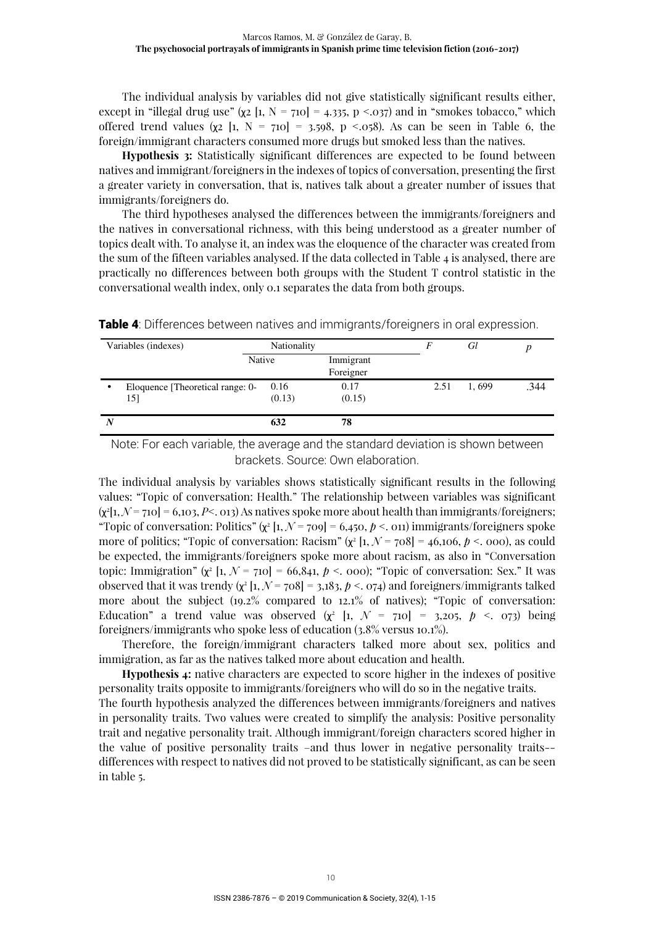The individual analysis by variables did not give statistically significant results either, except in "illegal drug use" ( $\chi$ 2 [1, N = 710] = 4.335, p <.037) and in "smokes tobacco," which offered trend values ( $\chi$ 2 [1, N = 710] = 3.598, p <.058). As can be seen in Table 6, the foreign/immigrant characters consumed more drugs but smoked less than the natives.

**Hypothesis 3:** Statistically significant differences are expected to be found between natives and immigrant/foreigners in the indexes of topics of conversation, presenting the first a greater variety in conversation, that is, natives talk about a greater number of issues that immigrants/foreigners do.

The third hypotheses analysed the differences between the immigrants/foreigners and the natives in conversational richness, with this being understood as a greater number of topics dealt with. To analyse it, an index was the eloquence of the character was created from the sum of the fifteen variables analysed. If the data collected in Table 4 is analysed, there are practically no differences between both groups with the Student T control statistic in the conversational wealth index, only 0.1 separates the data from both groups.

| Variables (indexes) |                                         | Nationality    |                        | F    | Gl    |      |
|---------------------|-----------------------------------------|----------------|------------------------|------|-------|------|
|                     | Native                                  |                | Immigrant<br>Foreigner |      |       |      |
| ٠                   | Eloquence [Theoretical range: 0-<br>151 | 0.16<br>(0.13) | 0.17<br>(0.15)         | 2.51 | 1.699 | .344 |
| $\boldsymbol{N}$    |                                         | 632            | 78                     |      |       |      |

**Table 4:** Differences between natives and immigrants/foreigners in oral expression.

Note: For each variable, the average and the standard deviation is shown between brackets. Source: Own elaboration.

The individual analysis by variables shows statistically significant results in the following values: "Topic of conversation: Health." The relationship between variables was significant  $(x^{2}[1, N = 710] = 6,103, P< .013)$  As natives spoke more about health than immigrants/foreigners; "Topic of conversation: Politics"  $(\chi^2 [1, \mathcal{N} = 709] = 6,450, \cancel{p} < .011)$  immigrants/foreigners spoke more of politics; "Topic of conversation: Racism"  $(\chi^2 \left[1, \mathcal{N} = 708\right] = 46,106, p < .000)$ , as could be expected, the immigrants/foreigners spoke more about racism, as also in "Conversation topic: Immigration"  $(x^{2}[1, N = 710] = 66,841, p < .000)$ ; "Topic of conversation: Sex." It was observed that it was trendy  $(x^{2}[1, N = 708] = 3,183, p < 0,074)$  and foreigners/immigrants talked more about the subject (19.2% compared to 12.1% of natives); "Topic of conversation: Education" a trend value was observed  $(\chi^2 \left[1, \mathcal{N} = 710\right] = 3,205, \ p \leq 0.073)$  being foreigners/immigrants who spoke less of education (3.8% versus 10.1%).

Therefore, the foreign/immigrant characters talked more about sex, politics and immigration, as far as the natives talked more about education and health.

**Hypothesis 4:** native characters are expected to score higher in the indexes of positive personality traits opposite to immigrants/foreigners who will do so in the negative traits.

The fourth hypothesis analyzed the differences between immigrants/foreigners and natives in personality traits. Two values were created to simplify the analysis: Positive personality trait and negative personality trait. Although immigrant/foreign characters scored higher in the value of positive personality traits –and thus lower in negative personality traits- differences with respect to natives did not proved to be statistically significant, as can be seen in table 5.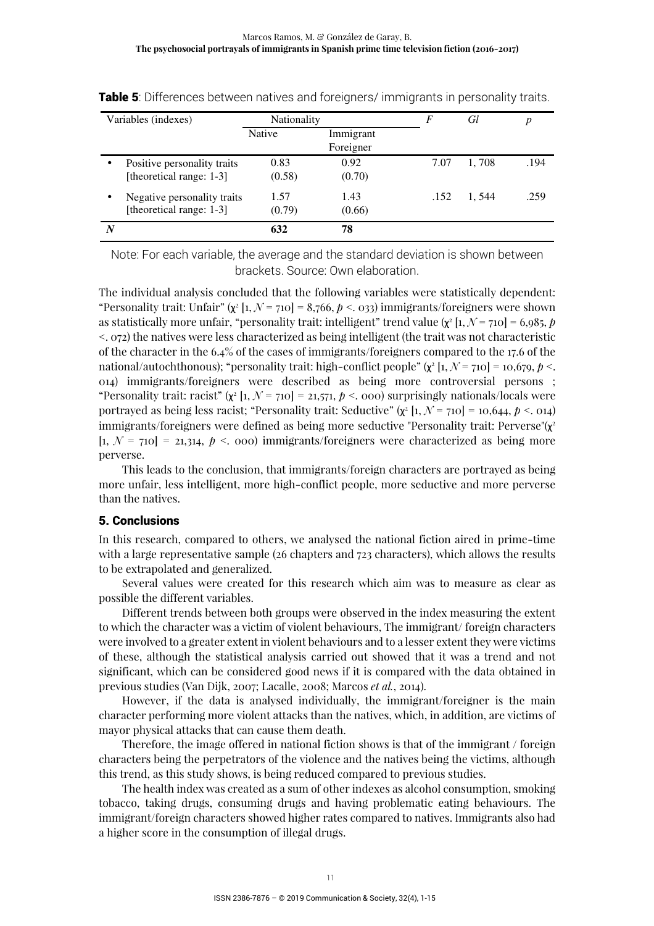|           | Variables (indexes)         |               | Nationality |      | Gl    | p    |
|-----------|-----------------------------|---------------|-------------|------|-------|------|
|           |                             | <b>Native</b> | Immigrant   |      |       |      |
|           |                             |               | Foreigner   |      |       |      |
| $\bullet$ | Positive personality traits | 0.83          | 0.92        | 7.07 | 1,708 | .194 |
|           | [theoretical range: 1-3]    | (0.58)        | (0.70)      |      |       |      |
| ٠         | Negative personality traits | 1.57          | 1.43        | .152 | 1.544 | .259 |
|           | [theoretical range: 1-3]    | (0.79)        | (0.66)      |      |       |      |
| N         |                             | 632           | 78          |      |       |      |

**Table 5:** Differences between natives and foreigners/ immigrants in personality traits.

Note: For each variable, the average and the standard deviation is shown between brackets. Source: Own elaboration.

The individual analysis concluded that the following variables were statistically dependent: "Personality trait: Unfair" ( $\chi^2$  [1,  $\mathcal{N}$  = 710] = 8,766,  $p$  <. 033) immigrants/foreigners were shown as statistically more unfair, "personality trait: intelligent" trend value ( $\chi^2$  [1,  $\mathcal{N}$  = 710] = 6,985,  $p$ <. 072) the natives were less characterized as being intelligent (the trait was not characteristic of the character in the 6.4% of the cases of immigrants/foreigners compared to the 17.6 of the national/autochthonous); "personality trait: high-conflict people"  $(\chi^2 \left[ 1, \mathcal{N} = 710 \right] = 10,679, \phi < 0.11$ 014) immigrants/foreigners were described as being more controversial persons ; "Personality trait: racist"  $(x^{2}[1, N = 710] = 21,571, p < .000)$  surprisingly nationals/locals were portrayed as being less racist; "Personality trait: Seductive"  $(\chi^2 \left[ 1, \mathcal{N} = 710 \right] = 10,644, \mathit{p} < .014)$ immigrants/foreigners were defined as being more seductive "Personality trait: Perverse"(χ 2  $[1, N = 710] = 21314, p < .000$  immigrants/foreigners were characterized as being more perverse.

This leads to the conclusion, that immigrants/foreign characters are portrayed as being more unfair, less intelligent, more high-conflict people, more seductive and more perverse than the natives.

#### 5. Conclusions

In this research, compared to others, we analysed the national fiction aired in prime-time with a large representative sample (26 chapters and 723 characters), which allows the results to be extrapolated and generalized.

Several values were created for this research which aim was to measure as clear as possible the different variables.

Different trends between both groups were observed in the index measuring the extent to which the character was a victim of violent behaviours, The immigrant/ foreign characters were involved to a greater extent in violent behaviours and to a lesser extent they were victims of these, although the statistical analysis carried out showed that it was a trend and not significant, which can be considered good news if it is compared with the data obtained in previous studies (Van Dijk, 2007; Lacalle, 2008; Marcos *et al.*, 2014).

However, if the data is analysed individually, the immigrant/foreigner is the main character performing more violent attacks than the natives, which, in addition, are victims of mayor physical attacks that can cause them death.

Therefore, the image offered in national fiction shows is that of the immigrant / foreign characters being the perpetrators of the violence and the natives being the victims, although this trend, as this study shows, is being reduced compared to previous studies.

The health index was created as a sum of other indexes as alcohol consumption, smoking tobacco, taking drugs, consuming drugs and having problematic eating behaviours. The immigrant/foreign characters showed higher rates compared to natives. Immigrants also had a higher score in the consumption of illegal drugs.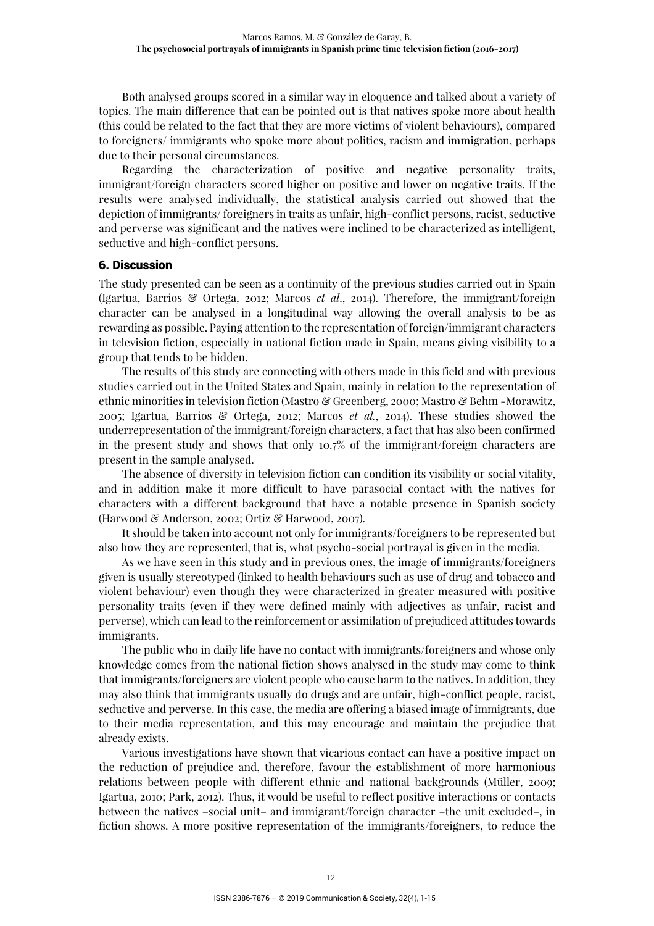Both analysed groups scored in a similar way in eloquence and talked about a variety of topics. The main difference that can be pointed out is that natives spoke more about health (this could be related to the fact that they are more victims of violent behaviours), compared to foreigners/ immigrants who spoke more about politics, racism and immigration, perhaps due to their personal circumstances.

Regarding the characterization of positive and negative personality traits, immigrant/foreign characters scored higher on positive and lower on negative traits. If the results were analysed individually, the statistical analysis carried out showed that the depiction of immigrants/ foreigners in traits as unfair, high-conflict persons, racist, seductive and perverse was significant and the natives were inclined to be characterized as intelligent, seductive and high-conflict persons.

#### 6. Discussion

The study presented can be seen as a continuity of the previous studies carried out in Spain (Igartua, Barrios & Ortega, 2012; Marcos *et al*., 2014). Therefore, the immigrant/foreign character can be analysed in a longitudinal way allowing the overall analysis to be as rewarding as possible. Paying attention to the representation of foreign/immigrant characters in television fiction, especially in national fiction made in Spain, means giving visibility to a group that tends to be hidden.

The results of this study are connecting with others made in this field and with previous studies carried out in the United States and Spain, mainly in relation to the representation of ethnic minorities in television fiction (Mastro & Greenberg, 2000; Mastro & Behm -Morawitz, 2005; Igartua, Barrios & Ortega, 2012; Marcos *et al.*, 2014). These studies showed the underrepresentation of the immigrant/foreign characters, a fact that has also been confirmed in the present study and shows that only 10.7% of the immigrant/foreign characters are present in the sample analysed.

The absence of diversity in television fiction can condition its visibility or social vitality, and in addition make it more difficult to have parasocial contact with the natives for characters with a different background that have a notable presence in Spanish society (Harwood & Anderson, 2002; Ortiz & Harwood, 2007).

It should be taken into account not only for immigrants/foreigners to be represented but also how they are represented, that is, what psycho-social portrayal is given in the media.

As we have seen in this study and in previous ones, the image of immigrants/foreigners given is usually stereotyped (linked to health behaviours such as use of drug and tobacco and violent behaviour) even though they were characterized in greater measured with positive personality traits (even if they were defined mainly with adjectives as unfair, racist and perverse), which can lead to the reinforcement or assimilation of prejudiced attitudes towards immigrants.

The public who in daily life have no contact with immigrants/foreigners and whose only knowledge comes from the national fiction shows analysed in the study may come to think that immigrants/foreigners are violent people who cause harm to the natives. In addition, they may also think that immigrants usually do drugs and are unfair, high-conflict people, racist, seductive and perverse. In this case, the media are offering a biased image of immigrants, due to their media representation, and this may encourage and maintain the prejudice that already exists.

Various investigations have shown that vicarious contact can have a positive impact on the reduction of prejudice and, therefore, favour the establishment of more harmonious relations between people with different ethnic and national backgrounds (Müller, 2009; Igartua, 2010; Park, 2012). Thus, it would be useful to reflect positive interactions or contacts between the natives –social unit– and immigrant/foreign character –the unit excluded–, in fiction shows. A more positive representation of the immigrants/foreigners, to reduce the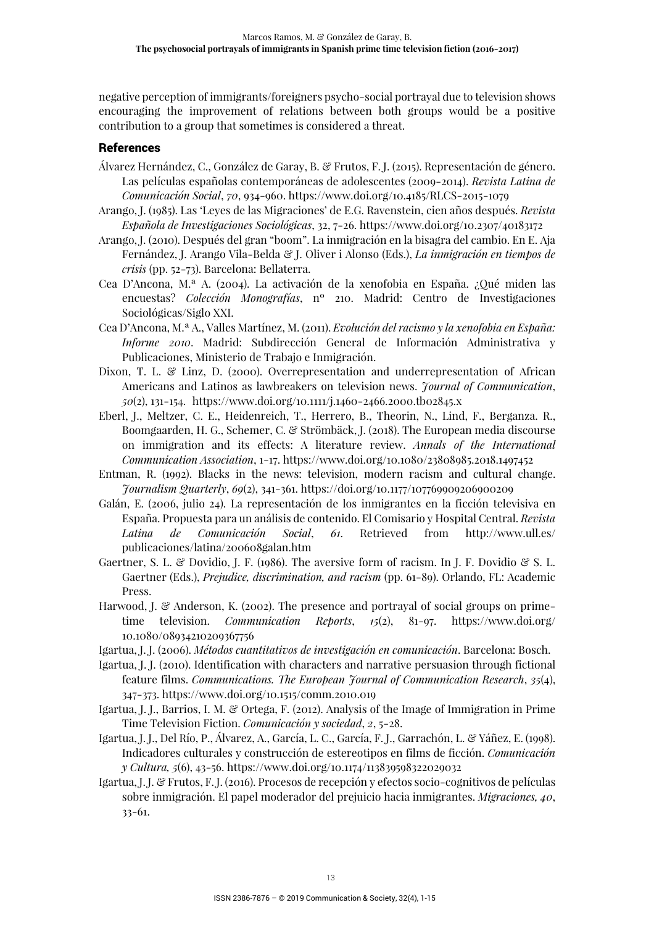negative perception of immigrants/foreigners psycho-social portrayal due to television shows encouraging the improvement of relations between both groups would be a positive contribution to a group that sometimes is considered a threat.

# References

- Álvarez Hernández, C., González de Garay, B. & Frutos, F. J. (2015). Representación de género. Las películas españolas contemporáneas de adolescentes (2009-2014). *Revista Latina de Comunicación Social*, *70*, 934-960. https://www.doi.org/10.4185/RLCS-2015-1079
- Arango, J. (1985). Las 'Leyes de las Migraciones' de E.G. Ravenstein, cien años después. *Revista Española de Investigaciones Sociológicas*, 32, 7-26. https://www.doi.org/10.2307/40183172
- Arango, J. (2010). Después del gran "boom". La inmigración en la bisagra del cambio. En E. Aja Fernández, J. Arango Vila-Belda & J. Oliver i Alonso (Eds.), *La inmigración en tiempos de crisis* (pp. 52-73). Barcelona: Bellaterra.
- Cea D'Ancona, M.ª A. (2004). La activación de la xenofobia en España. ¿Qué miden las encuestas? *Colección Monografías*, nº 210. Madrid: Centro de Investigaciones Sociológicas/Siglo XXI.
- Cea D'Ancona, M.ª A., Valles Martínez, M. (2011). *Evolución del racismo y la xenofobia en España: Informe 2010*. Madrid: Subdirección General de Información Administrativa y Publicaciones, Ministerio de Trabajo e Inmigración.
- Dixon, T. L. & Linz, D. (2000). Overrepresentation and underrepresentation of African Americans and Latinos as lawbreakers on television news. *Journal of Communication*, *50*(2), 131-154. https://www.doi.org/10.1111/j.1460-2466.2000.tb02845.x
- Eberl, J., Meltzer, C. E., Heidenreich, T., Herrero, B., Theorin, N., Lind, F., Berganza. R., Boomgaarden, H. G., Schemer, C. & Strömbäck, J. (2018). The European media discourse on immigration and its effects: A literature review. *Annals of the International Communication Association*, 1-17. https://www.doi.org/10.1080/23808985.2018.1497452
- Entman, R. (1992). Blacks in the news: television, modern racism and cultural change. *Journalism Quarterly*, *69*(2), 341-361. https://doi.org/10.1177/107769909206900209
- Galán, E. (2006, julio 24). La representación de los inmigrantes en la ficción televisiva en España. Propuesta para un análisis de contenido. El Comisario y Hospital Central. *Revista Latina de Comunicación Social*, *61*. Retrieved from http://www.ull.es/ publicaciones/latina/200608galan.htm
- Gaertner, S. L. & Dovidio, J. F. (1986). The aversive form of racism. In J. F. Dovidio & S. L. Gaertner (Eds.), *Prejudice, discrimination, and racism* (pp. 61-89). Orlando, FL: Academic Press.
- Harwood, J. & Anderson, K. (2002). The presence and portrayal of social groups on primetime television. *Communication Reports*, *15*(2), 81-97. https://www.doi.org/ 10.1080/08934210209367756
- Igartua, J. J. (2006). *Métodos cuantitativos de investigación en comunicación*. Barcelona: Bosch.
- Igartua, J. J. (2010). Identification with characters and narrative persuasion through fictional feature films. *Communications. The European Journal of Communication Research*, *35*(4), 347-373. https://www.doi.org/10.1515/comm.2010.019
- Igartua, J. J., Barrios, I. M. & Ortega, F. (2012). Analysis of the Image of Immigration in Prime Time Television Fiction. *Comunicación y sociedad*, *2*, 5-28.
- Igartua, J. J., Del Río, P., Álvarez, A., García, L. C., García, F. J., Garrachón, L. & Yáñez, E. (1998). Indicadores culturales y construcción de estereotipos en films de ficción. *Comunicación y Cultura, 5*(6), 43-56. https://www.doi.org/10.1174/113839598322029032
- Igartua, J. J. & Frutos, F. J. (2016). Procesos de recepción y efectos socio-cognitivos de películas sobre inmigración. El papel moderador del prejuicio hacia inmigrantes. *Migraciones, 40*, 33-61.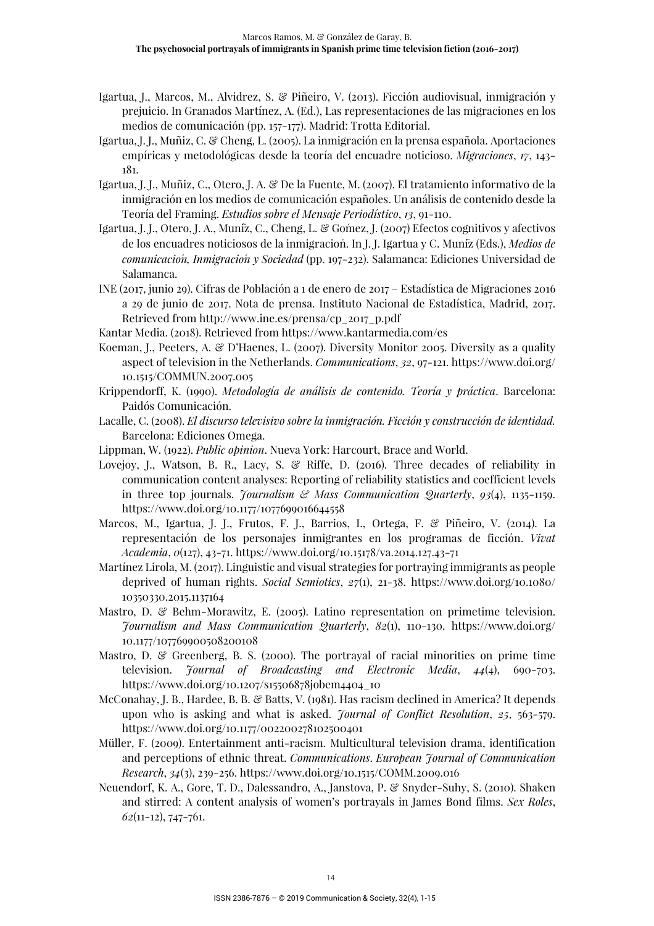- Igartua, J., Marcos, M., Alvidrez, S. & Piñeiro, V. (2013). Ficción audiovisual, inmigración y prejuicio. In Granados Martínez, A. (Ed.), Las representaciones de las migraciones en los medios de comunicación (pp. 157-177). Madrid: Trotta Editorial.
- Igartua, J. J., Muñiz, C. & Cheng, L. (2005). La inmigración en la prensa española. Aportaciones empíricas y metodológicas desde la teoría del encuadre noticioso. *Migraciones*, *17*, 143- 181.
- Igartua, J. J., Muñiz, C., Otero, J. A. & De la Fuente, M. (2007). El tratamiento informativo de la inmigración en los medios de comunicación españoles. Un análisis de contenido desde la Teoría del Framing. *Estudios sobre el Mensaje Periodístico*, *13*, 91-110.
- Igartua, J. J., Otero, J. A., Muñiz, C., Cheng, L. & Gómez, J. (2007) Efectos cognitivos y afectivos de los encuadres noticiosos de la inmigración. In J. J. Igartua y C. Muñiz (Eds.), *Medios de comunicación, Inmigración y Sociedad* (pp. 197-232). Salamanca: Ediciones Universidad de Salamanca.
- INE (2017, junio 29). Cifras de Población a 1 de enero de 2017 Estadística de Migraciones 2016 a 29 de junio de 2017. Nota de prensa. Instituto Nacional de Estadística, Madrid, 2017. Retrieved from http://www.ine.es/prensa/cp\_2017\_p.pdf
- Kantar Media. (2018). Retrieved from https://www.kantarmedia.com/es
- Koeman, J., Peeters, A. & D'Haenes, L. (2007). Diversity Monitor 2005. Diversity as a quality aspect of television in the Netherlands. *Communications*, *32*, 97-121. https://www.doi.org/ 10.1515/COMMUN.2007.005
- Krippendorff, K. (1990). *Metodología de análisis de contenido. Teoría y práctica*. Barcelona: Paidós Comunicación.
- Lacalle, C. (2008). *El discurso televisivo sobre la inmigración. Ficción y construcción de identidad.*  Barcelona: Ediciones Omega.
- Lippman, W. (1922). *Public opinion*. Nueva York: Harcourt, Brace and World.
- Lovejoy, J., Watson, B. R., Lacy, S. & Riffe, D. (2016). Three decades of reliability in communication content analyses: Reporting of reliability statistics and coefficient levels in three top journals. *Journalism & Mass Communication Quarterly*, *93*(4), 1135-1159. https://www.doi.org/10.1177/1077699016644558
- Marcos, M., Igartua, J. J., Frutos, F. J., Barrios, I., Ortega, F. & Piñeiro, V. (2014). La representación de los personajes inmigrantes en los programas de ficción. *Vivat Academia*, *0*(127), 43-71. https://www.doi.org/10.15178/va.2014.127.43-71
- Martínez Lirola, M. (2017). Linguistic and visual strategies for portraying immigrants as people deprived of human rights. *Social Semiotics*, *27*(1), 21-38. https://www.doi.org/10.1080/ 10350330.2015.1137164
- Mastro, D. & Behm-Morawitz, E. (2005). Latino representation on primetime television. *Journalism and Mass Communication Quarterly*, *82*(1), 110-130. https://www.doi.org/ 10.1177/107769900508200108
- Mastro, D. & Greenberg, B. S. (2000). The portrayal of racial minorities on prime time television. *Journal of Broadcasting and Electronic Media*, *44*(4), 690-703. https://www.doi.org/10.1207/s15506878jobem4404\_10
- McConahay, J. B., Hardee, B. B. & Batts, V. (1981). Has racism declined in America? It depends upon who is asking and what is asked. *Journal of Conflict Resolution*, *25*, 563-579. https://www.doi.org/10.1177/002200278102500401
- Müller, F. (2009). Entertainment anti-racism. Multicultural television drama, identification and perceptions of ethnic threat. *Communications*. *European Journal of Communication Research*, *34*(3), 239-256. https://www.doi.org/10.1515/COMM.2009.016
- Neuendorf, K. A., Gore, T. D., Dalessandro, A., Janstova, P. & Snyder-Suhy, S. (2010). Shaken and stirred: A content analysis of women's portrayals in James Bond films. *Sex Roles*, *62*(11-12), 747-761.